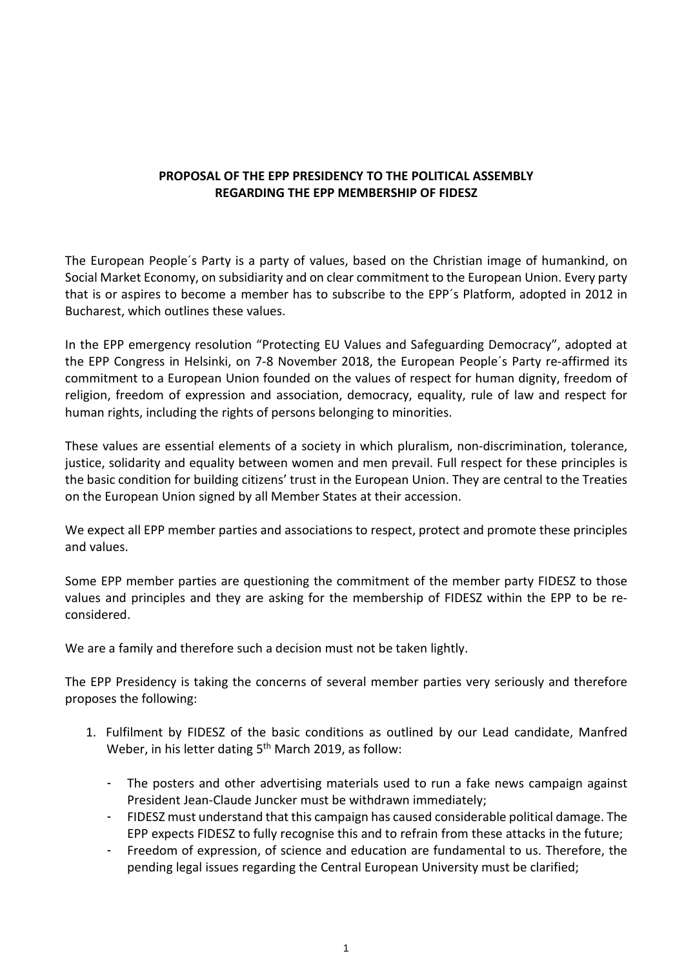## **PROPOSAL OF THE EPP PRESIDENCY TO THE POLITICAL ASSEMBLY REGARDING THE EPP MEMBERSHIP OF FIDESZ**

The European People´s Party is a party of values, based on the Christian image of humankind, on Social Market Economy, on subsidiarity and on clear commitment to the European Union. Every party that is or aspires to become a member has to subscribe to the EPP´s Platform, adopted in 2012 in Bucharest, which outlines these values.

In the EPP emergency resolution "Protecting EU Values and Safeguarding Democracy", adopted at the EPP Congress in Helsinki, on 7-8 November 2018, the European People´s Party re-affirmed its commitment to a European Union founded on the values of respect for human dignity, freedom of religion, freedom of expression and association, democracy, equality, rule of law and respect for human rights, including the rights of persons belonging to minorities.

These values are essential elements of a society in which pluralism, non-discrimination, tolerance, justice, solidarity and equality between women and men prevail. Full respect for these principles is the basic condition for building citizens' trust in the European Union. They are central to the Treaties on the European Union signed by all Member States at their accession.

We expect all EPP member parties and associations to respect, protect and promote these principles and values.

Some EPP member parties are questioning the commitment of the member party FIDESZ to those values and principles and they are asking for the membership of FIDESZ within the EPP to be reconsidered.

We are a family and therefore such a decision must not be taken lightly.

The EPP Presidency is taking the concerns of several member parties very seriously and therefore proposes the following:

- 1. Fulfilment by FIDESZ of the basic conditions as outlined by our Lead candidate, Manfred Weber, in his letter dating 5<sup>th</sup> March 2019, as follow:
	- The posters and other advertising materials used to run a fake news campaign against President Jean-Claude Juncker must be withdrawn immediately;
	- FIDESZ must understand that this campaign has caused considerable political damage. The EPP expects FIDESZ to fully recognise this and to refrain from these attacks in the future;
	- Freedom of expression, of science and education are fundamental to us. Therefore, the pending legal issues regarding the Central European University must be clarified;